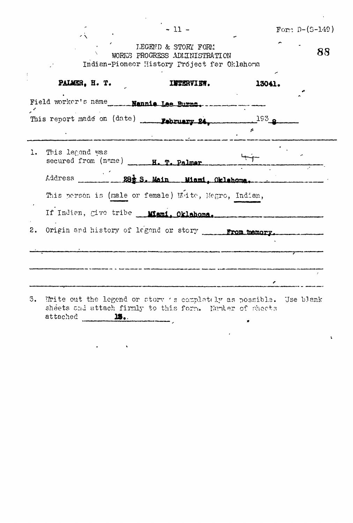|                    |                                                                                                                                                                                                                                                                | $-11 -$                                                                                                                                     |        | Form $D-(5-149)$ |
|--------------------|----------------------------------------------------------------------------------------------------------------------------------------------------------------------------------------------------------------------------------------------------------------|---------------------------------------------------------------------------------------------------------------------------------------------|--------|------------------|
|                    |                                                                                                                                                                                                                                                                | <b>LEGEND &amp; STORY FORM</b><br>WORKS PROGRESS ADMINISTRATION<br>Indian-Pionecr History Project for Oklahoma                              |        | 88               |
|                    | PALMER, H. T.                                                                                                                                                                                                                                                  | <b>INTERVIEW.</b>                                                                                                                           | 13041. |                  |
|                    |                                                                                                                                                                                                                                                                |                                                                                                                                             |        |                  |
|                    | $\label{eq:conformal} \begin{array}{l} \bullet \end{array}$ and the state of the conditions of the set of the state of the set of the set of the set of the set of the set of the set of the set of the set of the set of the set of the set of the set of the | This report made on (date) Pebruary 24 193 8                                                                                                |        |                  |
| 1. This legend was |                                                                                                                                                                                                                                                                | secured from $(n \cdot m e)$ $\overline{H}$ , $\overline{T}$ , $P$ slmar                                                                    |        |                  |
|                    |                                                                                                                                                                                                                                                                |                                                                                                                                             |        |                  |
|                    |                                                                                                                                                                                                                                                                | This person is (male or female) White, Negro, Indian,                                                                                       |        |                  |
|                    |                                                                                                                                                                                                                                                                | If Indian, give tribe <b>Mami, Oklahoma.</b>                                                                                                |        |                  |
| 2.                 |                                                                                                                                                                                                                                                                | Origin and history of legend or stery From memory.                                                                                          |        |                  |
|                    |                                                                                                                                                                                                                                                                | .<br>Tempelusi siah tuan kakhat an tini noma mena maran Pathalu ji dipakaikan kapulkan bulu Ajudi ji meleri i sistemat terte                |        |                  |
|                    |                                                                                                                                                                                                                                                                | .<br>Any other are sents abustrary his computergised apudical - Represent - a sub-contrast manifestation is aperturistic manifestation char |        |                  |
|                    |                                                                                                                                                                                                                                                                |                                                                                                                                             |        |                  |

 $\mathbf{r}$ 

sheets and attach firmly to this form. Number of sheets attached **15.**  $\langle \rangle$  ,  $\langle \rangle$ 

 $\label{eq:2} \frac{1}{\sqrt{2}}\left(\frac{1}{\sqrt{2}}\right)^{2} \left(\frac{1}{\sqrt{2}}\right)^{2}$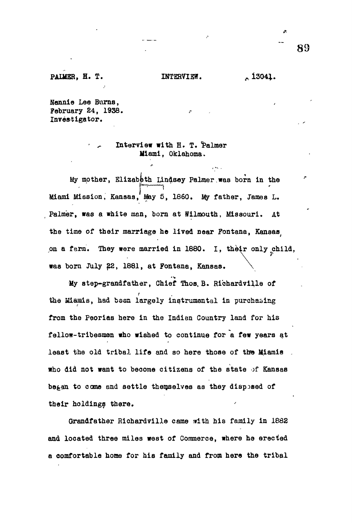### PAIMER, H. T. INTERVIEW. 13041.

 $\sqrt{8\sqrt{2}}$ 

**Nannie Lee Burns, February 24, 1938.**

**Investigator.**

# **• ^ Interview with H. T. 'Palmer Miami, Oklahoma.**

**My mother, Elizabeth Lindsay Palmer,was born in the** Miami Mission, Kansas, May 5, 1860. My father, James L. **Miami Mission, Kansas, May 5, 1860. My father, James L.** Palmer, was a white man, born at Wilmouth, Missouri. At the time of their marriage he lived near Fontana, Kansas, on a farm. They were married in 1880. I, their only child, on a farm. They were married in 1880. In 1880. I, they were married in 1880. I, they were married in 1880. In 1880. I **was born July 22, 1881, at Fontana, Kansas,,. \**

My step-grandfather, Chief Thos, B. Richardville of the **Miamis**, had been largely instrumental in purchasing **from the Paorias here in the Indian Country land for his fellow-tribesmen who wished to continue for a few years at least the old tribal life and so here those of tta» Miamis who did not want to become citizens of the state of Kansas began to come and settle themselves as they disposed of their holdings there.**

**Grandfather Riohardville came arith his family in 1882 and located three miles west of Commerce, where he erected a comfortable home for his family and from here the tribal** **89**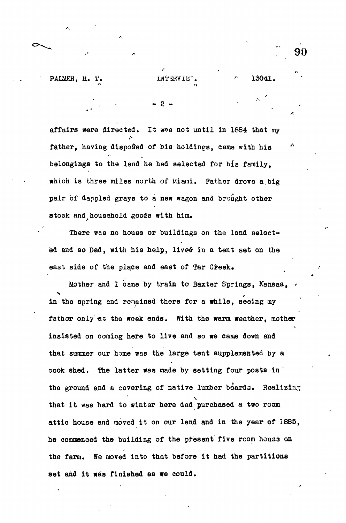**PALMER, H. T. INTERVIET.**  $\qquad \qquad$  13041.

*, -* 2 - •

affairs were directed. It was not until in 1884 that my *I '* father, having disposed of his holdings, came with his Andrew Maria belongings to the land he had selected for his family, which is three miles north of Miami. Father drove a big pair of dappled grays to a new wagon and brought other stock and household goods with him.

There was no house or buildings on the land selected and so Dad, with his help, lived in a tent set on the east side of the place and east of Tar Creek.

Mother and I came by train to Baxter Springs, Kansas, in the spring and remained there for a while, seeing my father only at the week ends. With the warm weather, mother insisted on coming here to live and so we came down and that summer our home was the large tent supplemented by a cook shed. The latter was made by setting four posts in the ground and a covering of native lumber boards. Realizing that it was hard to winter here dad purchased a two room attic house and moved it on our land and in the year of 1885, he commenced the building of the present five room house on the farm. We moved into that before it had the partitions set and it was finished as we could.

90

*/*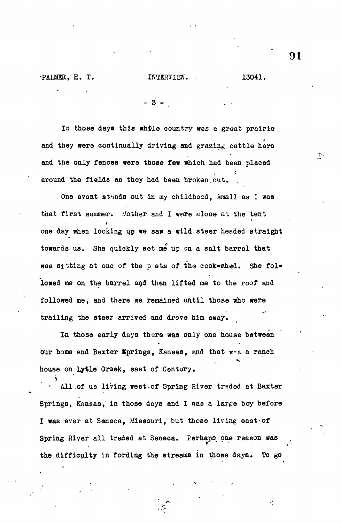In those days this whDle oountry was a great prairie . and they were continually driving and grazing cattle here and the only fences were those few which had been placed around the fields as they had been broken out.

**- 3 - .**

One event stands out in my childhood, small as I was that first summer. Mother and I were alone at the tent one day when looking up we saw a wild steer headed straight towards us. She quickly set me up on a salt barrel that was sitting at one of the p sts of the cook-ened. She followed me on the barrel and then lifted me to the roof and followed me, and there we remained until those who were trailing the steer arrived and drove him away.

In those early days there was only one house between our home and Baxter Springs, Kansas, and that wes a ranch house on Lytle Creek, east of Century,

All of us living west-of Spring River traded at Baxter Springs, Kansas, in those deys and I was a large boy before I was ever at Seneca, Missouri, but those living east-of Spring River all traded at Seneca. Perhaps one reason was the difficulty in fording the streams in those days. To go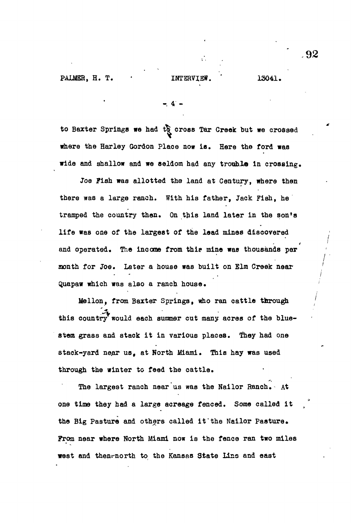**- 4 -**

to Baxter Springs we had to cross Tar Greek but we crossed **where the Harley Gordon Place now ia. Here the ford was** wide and shallow and we seldom had any trouble in crossing.

**Joe Fish was allotted the land at Century, where then there was a large ranch. With his father, Jack Fish, he tramped the country then. On this land later in the son's life was one of the largest of the lead mines discovered and operated. The income from thie mine was thousands per month for Joe. Later a house was built on Elm Creek near Quapaw which was also a ranch house. '**

**Mellon, from Baxter Springs, who ran cattle through /** this country would each summer cut many acres of the blue**stem grass and stack it in various places. They had one** stack-yard near us, at North Miami. This hay was used **through the winter to feed the cattle.**

**The largest ranch near us was the Nailor Ranch. At one time they had a large acreage fenced. Some called it** the Big Pasture and others called it the Nailor Pasture. **From near where North Miami now is the fence ran two miles** west and thenwnorth to the Kansas State Line and east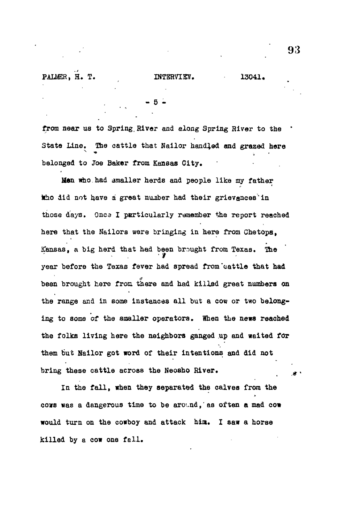- 5 -

from near us to Spring River and along Spring River to the Stata Line. The cattle that Nailor handled and grazed here belonged to Joe Baker from Kansas City.

Men who.had smaller herds and people like my father tho did not have a great number had their grievances in those days. 0nc3 I particularly remember the report reached here that the Nailors were bringing in here from Chetopa, Kansas, a big herd that had been brought from Texas. The year before the Texas fever had spread from'cattle that had been brought here from there and had killed great numbers on the range and in some instances all but a cow or two belonging to some of the smaller operators. When the news reached the folks living here the neighbors ganged up and waited for them but Hailor got word of their intentions and did not bring these cattle across the Neosho River.

In the fall, when they separated the calves from the cows was a dangerous time to be around, as often a mad cow would turn on the cowboy and attack him. I saw a horse where  $\mathbf{r}$  is a horse turn on the cowboy and attack him. I saw a horse turn on the cowboy and attack him. I saw a horse turn on the cowboy and attack him. I saw a horse turn on the cowboy and attack him. I saw a horse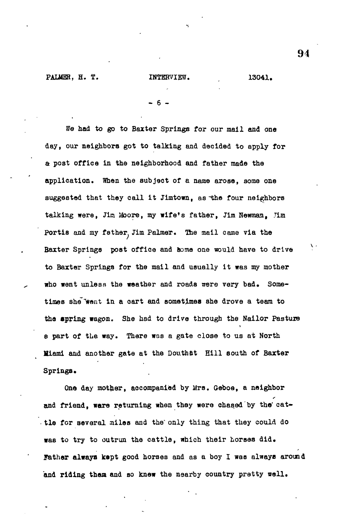**PALMER, H. T. 13041. INTERVIEW.** 13041.

**- 6 -**

We had to go to Barter Springs for our mail and one **day, our neighbors got to talking and decided to apply for a post office in the neighborhood and father made the application. When the subject of a name arose, some one suggested that they call it Jimtown, as-the four neighbors talking were, Ji& Moore, my wife<sup>f</sup>s father, Jim Newman, Jim Portis and my father. Jim Palmer. The mail came via the** Baxter Springs post office and some one would have to drive to Baxter Springs for the mail and usually it was my mother who went unless the weather and roads were very bad. Some**times she "went in a oart and sometimes she drove a team to the spring wagon. She had to drive through the Nailor Pasture e part of the way. There was a gate close to us at North Hiami and another gate at the Douthat Hill south of Baxter** Springs.

**One day mother, accompanied by Mrs. Geboe, a neighbor** and friend, ware returning when they were chased by the cat**tle for several miles and the' only thing that they could do was to try to outrun the cattle, which their horses did.** Father always kept good horses and as a boy I was always around **and riding them and so knew the nearby country pretty wall.**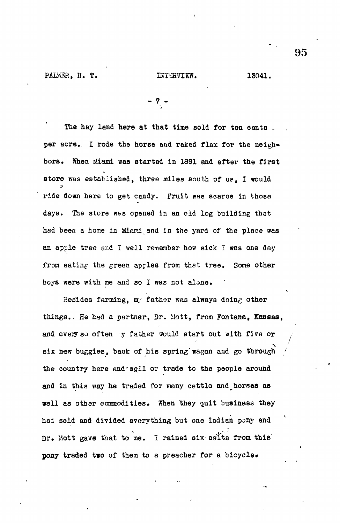PAIMER, H. T. INTERVIEW. 13041.

$$
= 7 -
$$

The hay land here at that time sold for ten cents. per acre.. I rode the horse and raked flax for the neighbors. When Miami was started in 1891 and after the first store was established, three miles south of us, I would ride down here to get cendy. Fruit was scarce in those days. The store was opened in an old log building that had been a home in Miami and in the yard of the place was an apple tree and I well remember how sick I was one day from eating the green apples from that tree. Some other boys were with me and so I was not alone.

Besides farming, my father was always doing other things.. He had a partner, Dr. Mott, from Fontana, Kansas, and every so often y father would start out with five or six new buggies, back of his spring wagon and go through the country here and sell or trade to the people around and in this way he traded for many cattle and horses as well as other commodities. When they quit business they had sold and divided everything but one Indian pony and Dr. Mott gave that to me. I raised six colts from this pony traded two of them to a preacher for a bicycle.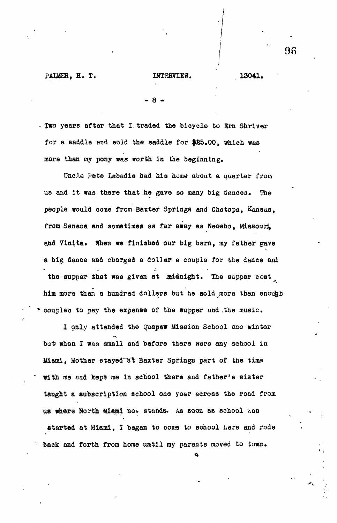### PAIMER, H. T. **INTERVIEW.** 13041.

- 8 -

- Two years after that I.traded tho bicycle to Era Shriver for a saddle and sold the saddle for \$85,00, which was more than my pony was worth in the beginning.

Uncle Pete Labadie had his home about a quarter from us and it was there that he gave so many big dances. The people would coae from Baxter Springs and Chetopa, Kansas, front Seneca and sometimes as far away as Neosho, Missouri, and Vinita. When we finished our big barn, my father gave a big dance and charged a dollar a couple for the dance and the supper that was given at midnight. The supper cost him more than a hundred dollars but he sold more than enough \* couplea to pay the expense of the supper und .the music.

I only attended the Quapaw Mission School one winter but when I was small and before there were any school in Miami, Mother stayed at Baxter Springs part of the time with me and kept me in school there and father's sister taught a subscription school one year across the road from us where North Miami no. stands. As soon as school was started at Miami, I began to come to school here and rode  $\blacksquare$  back and forth from home until my parents moved to town.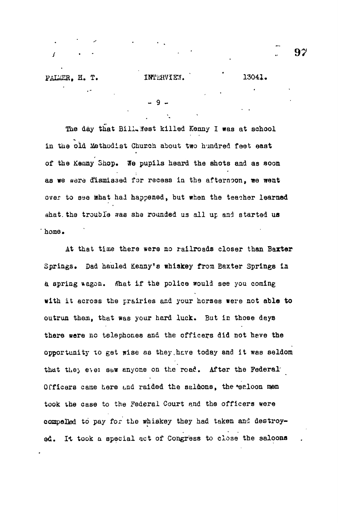$\overline{9}$ 

The day that Bill. West killed Kenny I was at school in the old Methodist Church about two hundred feet east of the Kenny Shop. We pupils heard the shots and as soon as we aare dismissed for recess in the afternoon, we went over to see mhat had happened, but when the teacher learned what. the trouble was she rounded us all up and started us home.

At that time there sera no railroads closer than Barter Springs. Dad hauled Kenny's whiskey from Baxter Springs in a spring wagon. Mhat if the police would see you coming with it across the prairies and your horses were not able to outrun them, that was your hard luck. But in those days there were no telephones and the officers did not heve the opportunity xo get wise as they,hare today and it was seldom that they ever saw anyone on the road. After the Federal Officers came here and raided the saldons, the \*saloon men took the case to the Federal Court and the officers were compelled to pay for the whiskey they had taken and destroyed. It took a special act of Congress to close the saloona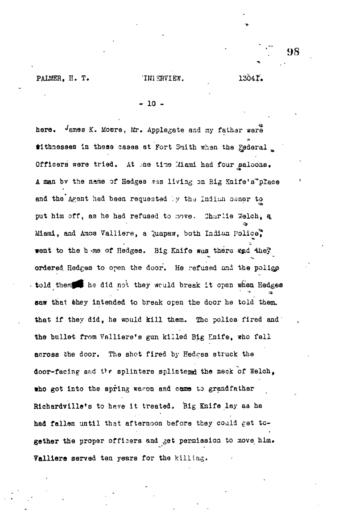- 10 -

here.  $\sqrt{2}$  ames K. Moore, Mr. Applegate and my fathar were tithresses in these cases at Fort Smith when the Federal Officers were tried. At one time Miami had four saloons. A man bv the name of Hedges ass living on Big Knife's"place and the Agent had been requested by the Indiun owner to put him off, as he had refused to move. Charlie Welch, a Miami, and Amos Valliere, a Quapaw, both Indian Police. went to the h me of Hedges. Big Knife was there and they ordered Hedges to open the door. He refused and the police told them he did not they would break it open when Hedges saw that they intended to break open the door he told them. that if they did, he would kill them. The police fired and the bullet from Valliere's gun killed Big Knife, who fell across the door. The shot fired by Hedges struck the door-facing and the splinters splintered the neck of Welch, who got into the spring waron and came to grandfather Richardville's to have it treated. Big Knife lay as he had fallen until that afternoon before they could get together the proper officers and get permission to move him. Valliere served ten years for the killing.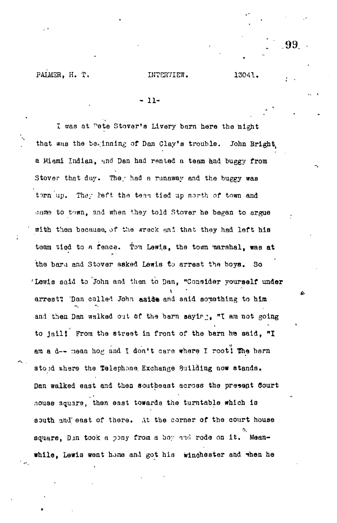PALMER, H. T.

13041.

### $-11-$

I was at Pete Stover's Livery barn here the night that was the beginning of Dan Clay's trouble. John Bright a Miami Indian, and Dan had rented a team and buggy from Stover that day. They had a runaway and the buggy was torn up. They left the team tied up north of town and came to town, and when they told Stover he began to argue with them because, of the greck and that they had left his team tied to a fence. Tom Lewis, the town marshal, was at the bard and Stover asked Lewis to arrest the boys.  $3<sub>o</sub>$ 'Lewis said to John and then to Dan, "Consider yourself under arrest? Than called John aside and said something to him and then Dan walked out of the barn sayir . "I am not going to jail! From the street in front of the barn he said, "I am a d-- mean hog and I don't care where I root's The barn stopd where the Telephone Exchange Building now stands. Dan walked east and then southeast across the present Court house square, then east towards the turntable which is south and east of there. At the corner of the court house square, Din took a pony from a boy and rode on it. Meanwhile, Lewis went home and got his winchester and when he

.99.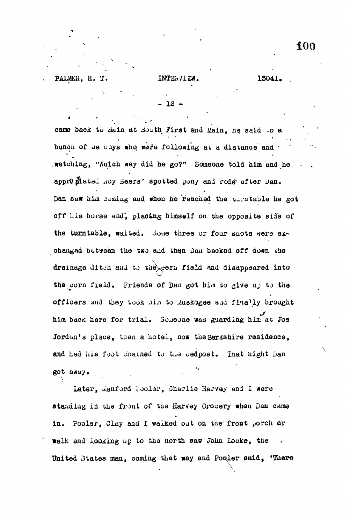**12** 

came back to Main at Jouth First and Main, he said to a bunoh of us uoys who were following at a distance and -.watching, "Snich \*ay did he go?" Someone told him and he appr@plated Roy Beers' spotted pony and rode after Dan. Dan saw him joming and when he reached the wirmtable he got off his horse and, placing himself on the opposite side of the turntable, waited. Some three or four shots were exchanged between the two and then Dan backed off down the drainage ditch and to the ern field and disappeared into the corn field. Friends of Dan got him to give up to the officers and they took him to Auskogee and finally brought him bacK here for trial. 3o.aeone was guarding him at Joe Jordan's place, then a hotel, now the Berkshire residence, and had his foot chained to the bedpost. That hight Dan got away.

Later, wanford hooler, Charlie Harvey and I were standing in the front of the Harvey Grocery when Dan came in. Pooler, Clay and I walked out on the front porch ar walk and looking up to the north saw John Locke, the United States man, coming that way and Pooler said, "There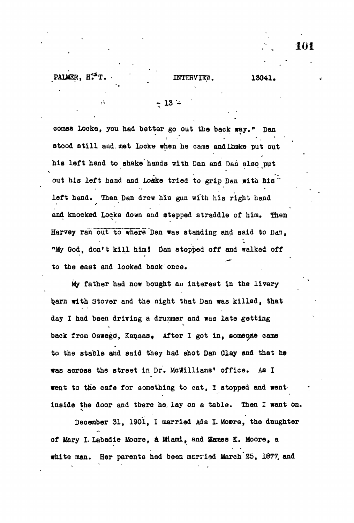## **- 13 \***

comes Locke, you had better go out the back way." Dan stood still and met Locke when he came and Lbske put out c **his left hand to shake hands with Dan and Dan also put** out his left hand and Lokke tried to grip Dan with his left hand. Then Dan drew his gun with his right hand **left hand. Then Dan drew hie gun with his right hand and knocked Locke down and stepped straddle of him. Then** Harvey ran out to where Dan was standing and said to Dan. **Harvey ran~ouTT6"wFere Dan was standing and said to Dan, <sup>n</sup>Uy God, don't kill him! Oan stepped off and walked off** to the east and looked back once.

**My father had now bought an interest in the livery** barn with Stover and the night that Dan was killed, that **barn with Stover and the night that Dan was killed, that day I had been driving a drummer and was late getting back from Oswegd, Kansas9 After I got in, someone came to the stable and said they had shot Dan Clay and that he was across the street in Dr. MeWilliams' office. As I went to the cafe for something to eat, I stopped and went inside the door and there he. lay on a table. Then I went on.**

December 31, 1901, I married Ada L Mosre, the daughter **of Wary I. Labadie Moore, a Miami, and Stones K. Moore, a white man. Her parents had been mcrried March 25, 1877, and**